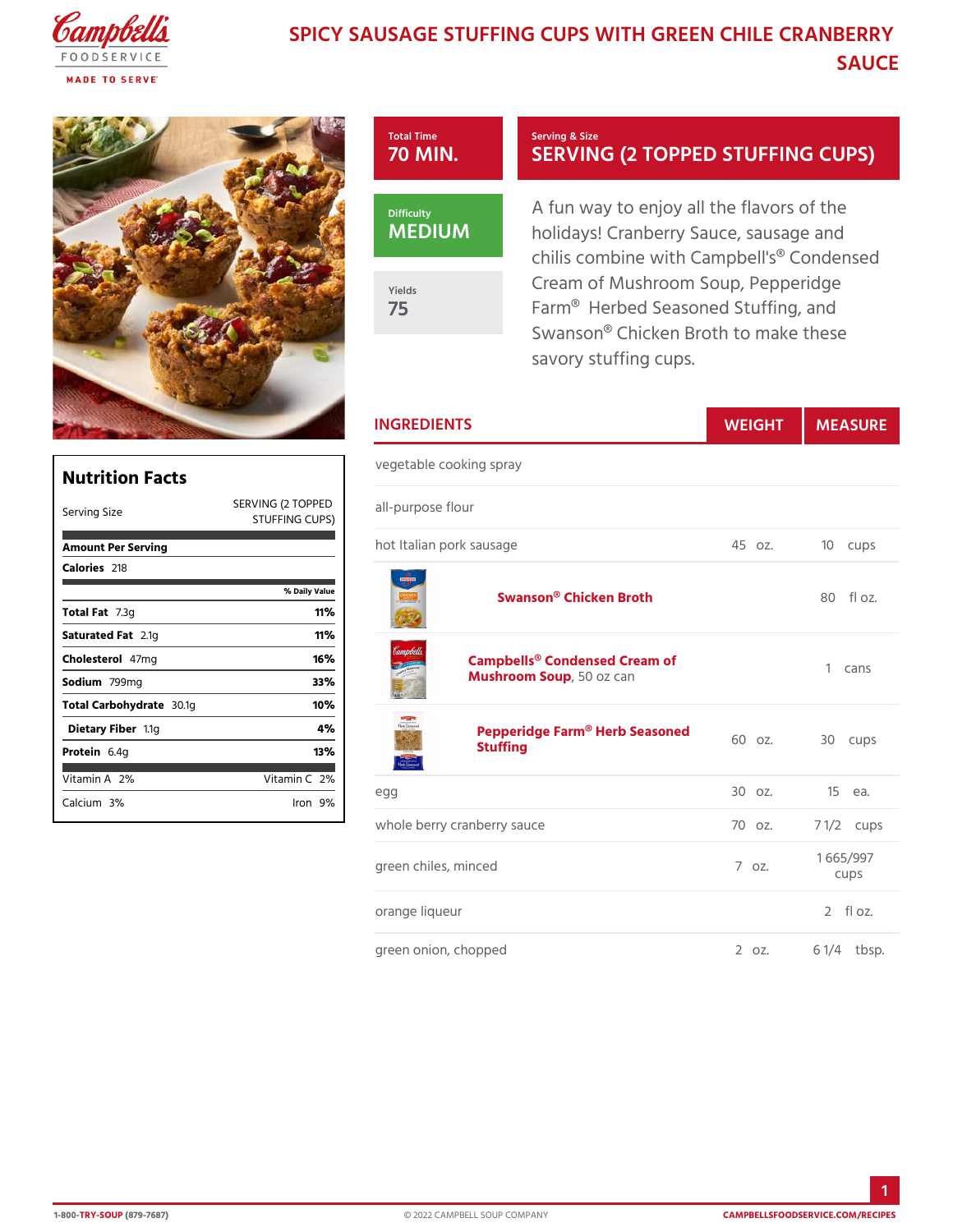## SPICY SAUSAGE STUFFING CUPS WITH GRE SAUCE



|                              |                | <b>INGREDIENTS</b>                                                                                 | WEIGH          | MEASU                 |
|------------------------------|----------------|----------------------------------------------------------------------------------------------------|----------------|-----------------------|
| <b>Nutrition Facts</b>       |                | vegetable cooking spray                                                                            |                |                       |
| Serving Size                 | STUFFING CUPS) | SERVING (2 TOPP <sub>a</sub> FIP-purpose flour                                                     |                |                       |
| Amount Per Serving           |                | hot Italian pork sausage                                                                           | 45 oz.         | 10 cups               |
| Calorie2s18                  |                |                                                                                                    |                |                       |
|                              | % Daily Value  | Swanson® Chicken Broth                                                                             |                | $80$ floz.            |
| Total Fat3g                  | 11%            |                                                                                                    |                |                       |
| Saturated 2F. atg            | 11%            |                                                                                                    |                |                       |
| $Choleste4\bar{\sigma}$ lm q | 16%            | Campbells® Condensed Cream of<br>Mushroom S60poz can<br>Pepperidge Farm® Herb Seasoned<br>Stuffing |                | 1 cans                |
| Sodium799mg                  | 33%            |                                                                                                    |                |                       |
| Total Carbohy30ate           | 10%            |                                                                                                    |                |                       |
| Dietary F1ibleg              | 4 %            |                                                                                                    |                |                       |
| $P$ rotei $6.4g$             | 13%            |                                                                                                    |                | 30 cups               |
| Vitamin2A6                   | Vitamin2%      |                                                                                                    |                |                       |
| Calcium%                     | $l$ ron $9$ %  | e g g                                                                                              | 30 oz.         | $15$ ea.              |
|                              |                | whole berry cranberry sauce                                                                        | 70 oz.         | $7 \frac{1}{2}$ cups  |
|                              |                | green chiles, minced                                                                               | $7.0Z$ .       | 1 665/997<br>cups     |
|                              |                | orange liqueur                                                                                     |                | $2$ floz.             |
|                              |                | green onion, chopped                                                                               | $2 \times 2$ . | $6 \frac{1}{4}$ tbsp. |